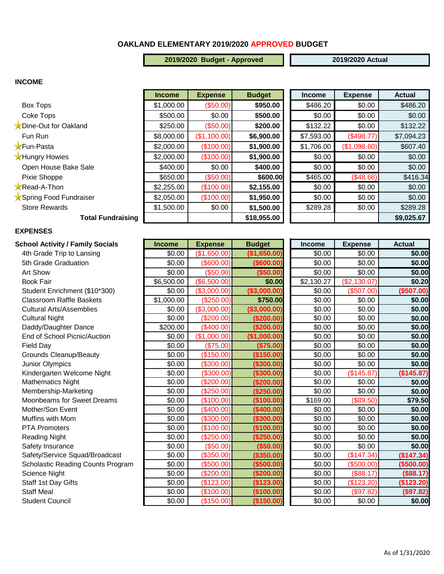## **OAKLAND ELEMENTARY 2019/2020 APPROVED BUDGET**

**2019/2020 Budget - Approved 2019/2020 Actual**

#### **INCOME**

|                          | <b>Income</b> | <b>Expense</b> | <b>Budget</b> | <b>Income</b> | <b>Expense</b> | <b>Actual</b> |
|--------------------------|---------------|----------------|---------------|---------------|----------------|---------------|
| Box Tops                 | \$1,000.00    | (\$50.00)      | \$950.00      | \$486.20      | \$0.00         | \$486.20      |
| Coke Tops                | \$500.00      | \$0.00         | \$500.00      | \$0.00        | \$0.00         | \$0.00        |
| Dine-Out for Oakland     | \$250.00      | (\$50.00)      | \$200.00      | \$132.22      | \$0.00         | \$132.22      |
| Fun Run                  | \$8,000.00    | (\$1,100.00)   | \$6,900.00    | \$7,593.00    | (\$498.77)     | \$7,094.23    |
| <b>X</b> Fun-Pasta       | \$2,000.00    | (\$100.00)     | \$1,900.00    | \$1,706.00    | (\$1,098.60)   | \$607.40      |
| <b>X</b> Hungry Howies   | \$2,000.00    | (\$100.00)     | \$1,900.00    | \$0.00        | \$0.00         | \$0.00        |
| Open House Bake Sale     | \$400.00      | \$0.00         | \$400.00      | \$0.00        | \$0.00         | \$0.00        |
| Pixie Shoppe             | \$650.00      | (\$50.00)      | \$600.00      | \$465.00      | (\$48.66)      | \$416.34      |
| <b>Read-A-Thon</b>       | \$2,255.00    | (\$100.00)     | \$2,155.00    | \$0.00        | \$0.00         | \$0.00        |
| Spring Food Fundraiser   | \$2,050.00    | (\$100.00)     | \$1,950.00    | \$0.00        | \$0.00         | \$0.00        |
| <b>Store Rewards</b>     | \$1,500.00    | \$0.00         | \$1,500.00    | \$289.28      | \$0.00         | \$289.28      |
| <b>Total Fundraising</b> |               |                | \$18,955.00   |               |                | \$9,025.67    |

#### **EXPENSES**

| School Activity / Family Socials         | <b>Income</b> | <b>Expense</b> | <b>Budget</b> | <b>Income</b> | Expense      | <b>Actual</b> |
|------------------------------------------|---------------|----------------|---------------|---------------|--------------|---------------|
| 4th Grade Trip to Lansing                | \$0.00        | (\$1,650.00)   | (\$1,650.00)  | \$0.00        | \$0.00       | \$0.00        |
| 5th Grade Graduation                     | \$0.00        | (\$600.00)     | $($ \$600.00) | \$0.00        | \$0.00       | \$0.00        |
| Art Show                                 | \$0.00        | (\$50.00)      | (\$50.00)     | \$0.00        | \$0.00       | \$0.00        |
| <b>Book Fair</b>                         | \$6,500.00    | (\$6,500.00)   | \$0.00        | \$2,130.27    | (\$2,130.07) | \$0.20        |
| Student Enrichment (\$10*300)            | \$0.00        | (\$3,000.00)   | (\$3,000.00)  | \$0.00        | (\$507.00)   | (\$507.00)    |
| <b>Classroom Raffle Baskets</b>          | \$1,000.00    | (\$250.00)     | \$750.00      | \$0.00        | \$0.00       | \$0.00        |
| <b>Cultural Arts/Assemblies</b>          | \$0.00        | (\$3,000.00)   | (\$3,000.00)  | \$0.00        | \$0.00       | \$0.00        |
| <b>Cultural Night</b>                    | \$0.00        | (\$200.00)     | (\$200.00)    | \$0.00        | \$0.00       | \$0.00        |
| Daddy/Daughter Dance                     | \$200.00      | (\$400.00)     | (\$200.00)    | \$0.00        | \$0.00       | \$0.00        |
| End of School Picnic/Auction             | \$0.00        | (\$1,000.00)   | (\$1,000.00)  | \$0.00        | \$0.00       | \$0.00        |
| Field Day                                | \$0.00        | (\$75.00)      | (\$75.00)     | \$0.00        | \$0.00       | \$0.00        |
| <b>Grounds Cleanup/Beauty</b>            | \$0.00        | (\$150.00)     | (\$150.00)    | \$0.00        | \$0.00       | \$0.00        |
| Junior Olympics                          | \$0.00        | (\$300.00)     | ( \$300.00)   | \$0.00        | \$0.00       | \$0.00        |
| Kindergarten Welcome Night               | \$0.00        | (\$300.00)     | (\$300.00)    | \$0.00        | (\$145.87)   | (\$145.87)    |
| <b>Mathematics Night</b>                 | \$0.00        | (\$200.00)     | (\$200.00)    | \$0.00        | \$0.00       | \$0.00        |
| Membership-Marketing                     | \$0.00        | (\$250.00)     | (\$250.00)    | \$0.00        | \$0.00       | \$0.00        |
| <b>Moonbeams for Sweet Dreams</b>        | \$0.00        | (\$100.00)     | (\$100.00)    | \$169.00      | (\$89.50)    | \$79.50       |
| Mother/Son Event                         | \$0.00        | (\$400.00)     | (\$400.00)    | \$0.00        | \$0.00       | \$0.00        |
| Muffins with Mom                         | \$0.00        | (\$300.00)     | (\$300.00)    | \$0.00        | \$0.00       | \$0.00        |
| <b>PTA Promoters</b>                     | \$0.00        | (\$100.00)     | (\$100.00)    | \$0.00        | \$0.00       | \$0.00        |
| <b>Reading Night</b>                     | \$0.00        | (\$250.00)     | (\$250.00)    | \$0.00        | \$0.00       | \$0.00        |
| Safety Insurance                         | \$0.00        | (\$50.00)      | (\$50.00)     | \$0.00        | \$0.00       | \$0.00        |
| Safety/Service Squad/Broadcast           | \$0.00        | (\$350.00)     | (\$350.00)    | \$0.00        | (\$147.34)   | (\$147.34)    |
| <b>Scholastic Reading Counts Program</b> | \$0.00        | (\$500.00)     | (\$500.00)    | \$0.00        | (\$500.00)   | (\$500.00)    |
| Science Night                            | \$0.00        | (\$200.00)     | (\$200.00)    | \$0.00        | (\$88.17)    | (\$88.17)     |
| Staff 1st Day Gifts                      | \$0.00        | (\$123.00)     | (\$123.00)    | \$0.00        | (\$123.20)   | (\$123.20)    |
| <b>Staff Meal</b>                        | \$0.00        | (\$100.00)     | (\$100.00)    | \$0.00        | (\$97.82)    | (\$97.82)     |
| <b>Student Council</b>                   | \$0.00        | (\$150.00)     | (\$150.00)    | \$0.00        | \$0.00       | \$0.00        |

| <b>School Activity / Family Socials</b>  | <b>Income</b> | <b>Expense</b> | <b>Budget</b> | Income     | <b>Expense</b> | <b>Actual</b> |
|------------------------------------------|---------------|----------------|---------------|------------|----------------|---------------|
| 4th Grade Trip to Lansing                | \$0.00        | (\$1,650.00)   | (\$1,650.00)  | \$0.00     | \$0.00         | \$0.00        |
| 5th Grade Graduation                     | \$0.00        | $($ \$600.00)  | ( \$600.00)   | \$0.00     | \$0.00         | \$0.00        |
| <b>Art Show</b>                          | \$0.00        | (\$50.00)      | ( \$50.00)    | \$0.00     | \$0.00         | \$0.00        |
| <b>Book Fair</b>                         | \$6,500.00    | (\$6,500.00)   | \$0.00        | \$2,130.27 | (\$2,130.07)   | \$0.20        |
| Student Enrichment (\$10*300)            | \$0.00        | (\$3,000.00)   | (\$3,000.00)  | \$0.00     | (\$507.00)     | (\$507.00)    |
| <b>Classroom Raffle Baskets</b>          | \$1,000.00    | (\$250.00)     | \$750.00      | \$0.00     | \$0.00         | \$0.00        |
| <b>Cultural Arts/Assemblies</b>          | \$0.00        | (\$3,000.00)   | (\$3,000.00)  | \$0.00     | \$0.00         | \$0.00        |
| <b>Cultural Night</b>                    | \$0.00        | (\$200.00)     | (\$200.00)    | \$0.00     | \$0.00         | \$0.00        |
| Daddy/Daughter Dance                     | \$200.00      | (\$400.00)     | (\$200.00)    | \$0.00     | \$0.00         | \$0.00        |
| End of School Picnic/Auction             | \$0.00        | (\$1,000.00)   | (\$1,000.00)  | \$0.00     | \$0.00         | \$0.00        |
| <b>Field Day</b>                         | \$0.00        | (\$75.00)      | (\$75.00)     | \$0.00     | \$0.00         | \$0.00        |
| <b>Grounds Cleanup/Beauty</b>            | \$0.00        | (\$150.00)     | (\$150.00)    | \$0.00     | \$0.00         | \$0.00        |
| Junior Olympics                          | \$0.00        | (\$300.00)     | (\$300.00)    | \$0.00     | \$0.00         | \$0.00        |
| Kindergarten Welcome Night               | \$0.00        | (\$300.00)     | (\$300.00)    | \$0.00     | (\$145.87)     | (\$145.87)    |
| <b>Mathematics Night</b>                 | \$0.00        | (\$200.00)     | ( \$200.00]   | \$0.00     | \$0.00         | \$0.00        |
| Membership-Marketing                     | \$0.00        | (\$250.00)     | (\$250.00)    | \$0.00     | \$0.00         | \$0.00        |
| <b>Moonbeams for Sweet Dreams</b>        | \$0.00        | (\$100.00)     | (\$100.00)    | \$169.00   | (\$89.50)      | \$79.50       |
| Mother/Son Event                         | \$0.00        | (\$400.00)     | (\$400.00)    | \$0.00     | \$0.00         | \$0.00        |
| Muffins with Mom                         | \$0.00        | (\$300.00)     | (\$300.00)    | \$0.00     | \$0.00         | \$0.00        |
| <b>PTA Promoters</b>                     | \$0.00        | (\$100.00)     | (\$100.00)    | \$0.00     | \$0.00         | \$0.00        |
| <b>Reading Night</b>                     | \$0.00        | (\$250.00)     | (\$250.00)    | \$0.00     | \$0.00         | \$0.00        |
| Safety Insurance                         | \$0.00        | (\$50.00)      | (\$50.00)     | \$0.00     | \$0.00         | \$0.00        |
| Safety/Service Squad/Broadcast           | \$0.00        | (\$350.00)     | (\$350.00)    | \$0.00     | (\$147.34)     | (\$147.34)    |
| <b>Scholastic Reading Counts Program</b> | \$0.00        | (\$500.00)     | (\$500.00)    | \$0.00     | (\$500.00)     | ( \$500.00]   |
| Science Night                            | \$0.00        | (\$200.00)     | (\$200.00)    | \$0.00     | (\$88.17)      | (\$88.17)     |
| Staff 1st Day Gifts                      | \$0.00        | (\$123.00)     | (\$123.00)    | \$0.00     | (\$123.20)     | (\$123.20)    |
| <b>Staff Meal</b>                        | \$0.00        | (\$100.00)     | (\$100.00)    | \$0.00     | (\$97.82)      | (\$97.82)     |
| Student Council                          | ደ0.00         | $($ \$150.00)  | (\$150.00)    | ደ0 00      | ደበ በበ          | so ool        |